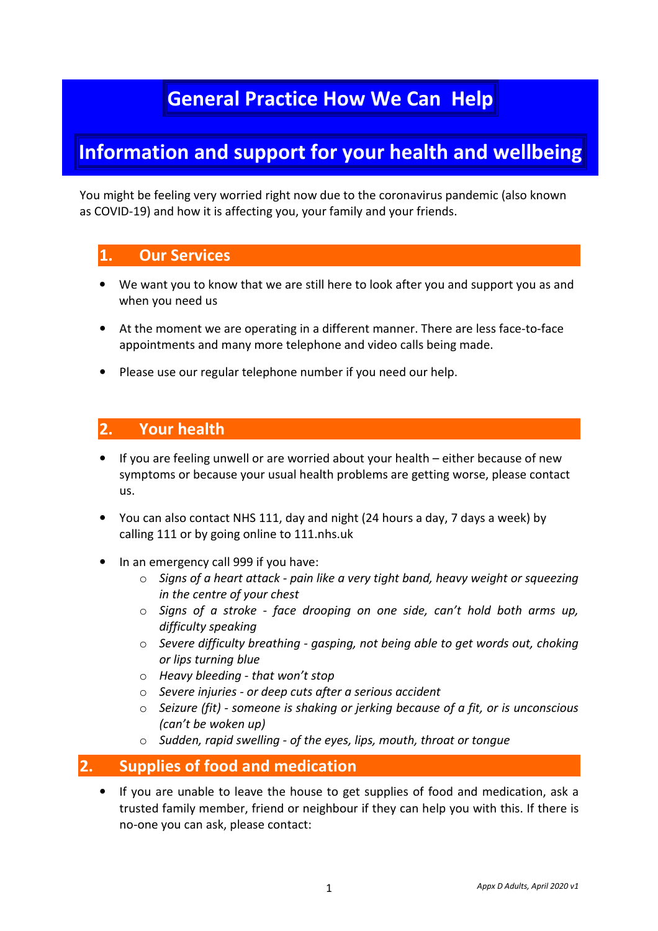# **General Practice How We Can Help**

# **Information and support for your health and wellbeing**

You might be feeling very worried right now due to the coronavirus pandemic (also known as COVID-19) and how it is affecting you, your family and your friends.

# **1. Our Services**

- We want you to know that we are still here to look after you and support you as and when you need us
- At the moment we are operating in a different manner. There are less face-to-face appointments and many more telephone and video calls being made.
- Please use our regular telephone number if you need our help.

## **2. Your health**

- If you are feeling unwell or are worried about your health either because of new symptoms or because your usual health problems are getting worse, please contact us.
- You can also contact NHS 111, day and night (24 hours a day, 7 days a week) by calling 111 or by going online to 111.nhs.uk
- In an emergency call 999 if you have:
	- o *Signs of a heart attack pain like a very tight band, heavy weight or squeezing in the centre of your chest*
	- o *Signs of a stroke face drooping on one side, can't hold both arms up, difficulty speaking*
	- o *Severe difficulty breathing gasping, not being able to get words out, choking or lips turning blue*
	- o *Heavy bleeding that won't stop*
	- o *Severe injuries or deep cuts after a serious accident*
	- o *Seizure (fit) someone is shaking or jerking because of a fit, or is unconscious (can't be woken up)*
	- o *Sudden, rapid swelling of the eyes, lips, mouth, throat or tongue*

# **2. Supplies of food and medication**

• If you are unable to leave the house to get supplies of food and medication, ask a trusted family member, friend or neighbour if they can help you with this. If there is no-one you can ask, please contact: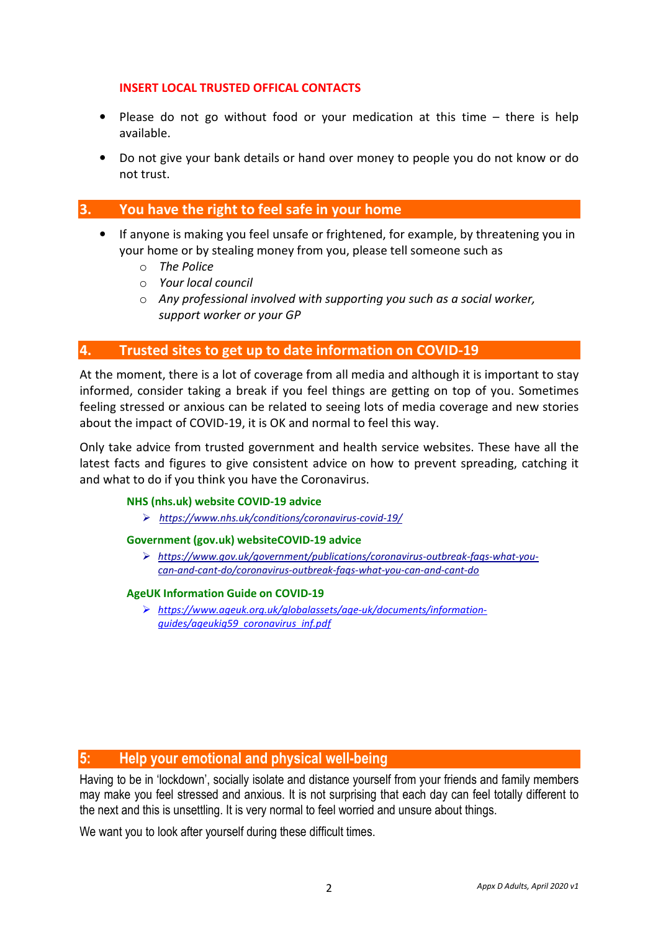### **INSERT LOCAL TRUSTED OFFICAL CONTACTS**

- Please do not go without food or your medication at this time there is help available.
- Do not give your bank details or hand over money to people you do not know or do not trust.

## **3. You have the right to feel safe in your home**

- If anyone is making you feel unsafe or frightened, for example, by threatening you in your home or by stealing money from you, please tell someone such as
	- o *The Police*
	- o *Your local council*
	- o *Any professional involved with supporting you such as a social worker, support worker or your GP*

## **4. Trusted sites to get up to date information on COVID-19**

At the moment, there is a lot of coverage from all media and although it is important to stay informed, consider taking a break if you feel things are getting on top of you. Sometimes feeling stressed or anxious can be related to seeing lots of media coverage and new stories about the impact of COVID-19, it is OK and normal to feel this way.

Only take advice from trusted government and health service websites. These have all the latest facts and figures to give consistent advice on how to prevent spreading, catching it and what to do if you think you have the Coronavirus.

#### **NHS (nhs.uk) website COVID-19 advice**

*https://www.nhs.uk/conditions/coronavirus-covid-19/*

#### **Government (gov.uk) websiteCOVID-19 advice**

 *https://www.gov.uk/government/publications/coronavirus-outbreak-faqs-what-youcan-and-cant-do/coronavirus-outbreak-faqs-what-you-can-and-cant-do* 

#### **AgeUK Information Guide on COVID-19**

 *https://www.ageuk.org.uk/globalassets/age-uk/documents/informationguides/ageukig59\_coronavirus\_inf.pdf* 

## **5: Help your emotional and physical well-being**

Having to be in 'lockdown', socially isolate and distance yourself from your friends and family members may make you feel stressed and anxious. It is not surprising that each day can feel totally different to the next and this is unsettling. It is very normal to feel worried and unsure about things.

We want you to look after yourself during these difficult times.